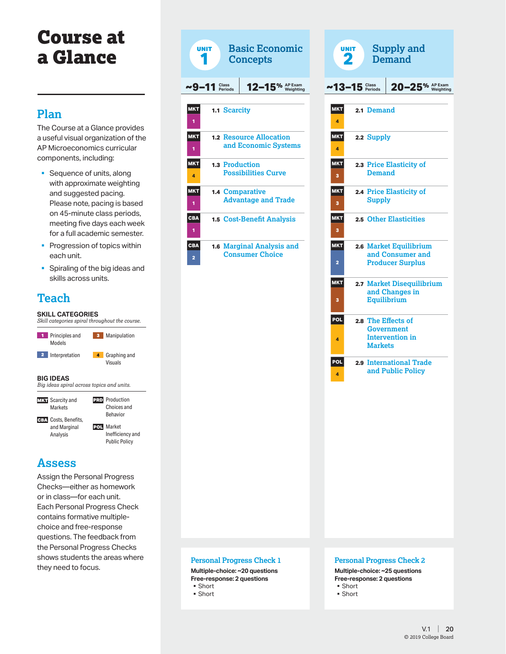# Course at a Glance

## **Plan**

The Course at a Glance provides a useful visual organization of the AP Microeconomics curricular components, including:

- Sequence of units, along with approximate weighting and suggested pacing. Please note, pacing is based on 45-minute class periods, meeting five days each week for a full academic semester.
- **Progression of topics within** each unit.
- § Spiraling of the big ideas and skills across units.

# **Teach**

### **SKILL CATEGORIES**

*Skill categories spiral throughout the course.*



### **Assess**

Assign the Personal Progress Checks—either as homework or in class—for each unit. Each Personal Progress Check contains formative multiplechoice and free-response questions. The feedback from the Personal Progress Checks shows students the areas where they need to focus.



| <b>UNIT</b>     |                          | <b>Supply and</b><br><b>Demand</b>                                    |
|-----------------|--------------------------|-----------------------------------------------------------------------|
| ~13–15          | <b>Class<br/>Periods</b> | $20-25%$ $\frac{AP\,Exam}{Weighting}$                                 |
| <b>MKT</b><br>4 | 2.1 Demand               |                                                                       |
| <b>MKT</b><br>4 | 2.2 Supply               |                                                                       |
| <b>MKT</b><br>3 | <b>Demand</b>            | 2.3 Price Elasticity of                                               |
| <b>MKT</b><br>3 | <b>Supply</b>            | 2.4 Price Elasticity of                                               |
| <b>MKT</b><br>3 |                          | 2.5 Other Elasticities                                                |
| <b>MKT</b><br>2 |                          | 2.6 Market Equilibrium<br>and Consumer and<br><b>Producer Surplus</b> |
| <b>MKT</b><br>з |                          | 2.7 Market Disequilibrium<br>and Changes in<br><b>Equilibrium</b>     |
| POL<br>4        | <b>Markets</b>           | 2.8 The Effects of<br><b>Government</b><br><b>Intervention</b> in     |
| <b>POL</b><br>4 |                          | 2.9 International Trade<br>and Public Policy                          |
|                 |                          |                                                                       |
|                 |                          |                                                                       |
|                 |                          |                                                                       |
|                 |                          |                                                                       |

#### **Personal Progress Check 1**

**Multiple-choice: ~20 questions Free-response: 2 questions** § Short

§ Short

#### **Personal Progress Check 2**

**Multiple-choice: ~25 questions Free-response: 2 questions** § Short

- § Short
-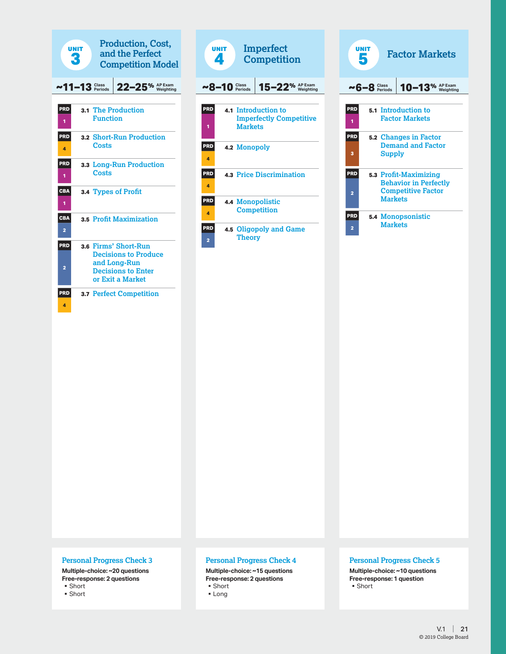



| UNIT<br><b>Factor Markets</b><br>5 |                    |                                                                                    |  |  |  |
|------------------------------------|--------------------|------------------------------------------------------------------------------------|--|--|--|
|                                    | $\sim 6 - 8$ Class | $10 - 13$ <sup>%</sup>                                                             |  |  |  |
| PRD<br>1                           |                    | <b>5.1 Introduction to</b><br><b>Factor Markets</b>                                |  |  |  |
| <b>PRD</b><br>3                    | Supply             | 5.2 Changes in Factor<br><b>Demand and Factor</b>                                  |  |  |  |
| <b>PRD</b><br>$\overline{a}$       | <b>Markets</b>     | 5.3 Profit-Maximizing<br><b>Behavior in Perfectly</b><br><b>Competitive Factor</b> |  |  |  |
| <b>PRD</b><br>2                    | <b>Markets</b>     | <b>5.4 Monopsonistic</b>                                                           |  |  |  |

#### **Personal Progress Check 3**

**Multiple-choice: ~20 questions Free-response: 2 questions**

§ Short

§ Short

#### **Personal Progress Check 4**

**Multiple-choice: ~15 questions Free-response: 2 questions**

### ■ Short

§ Long

#### **Personal Progress Check 5**

**Multiple-choice: ~10 questions Free-response: 1 question** ■ Short